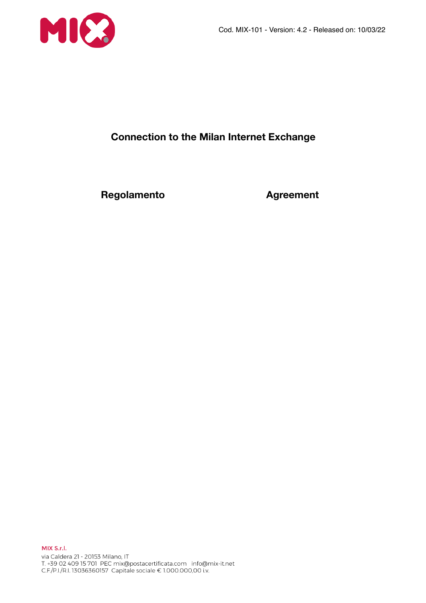

# **Connection to the Milan Internet Exchange**

**Regolamento Agreement**

MIX S.r.l. via Caldera 21 - 20153 Milano, IT 1.439 02 409 15 701 PEC mix@postacertificata.com info@mix-it.net<br>C.F./P.I./R.I. 13036360157 Capitale sociale € 1.000.000,00 i.v.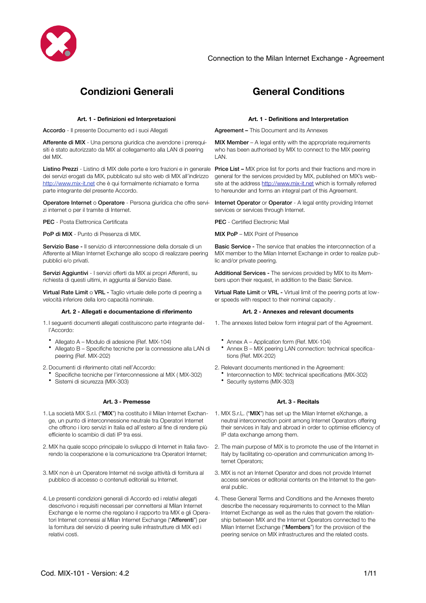

# **Condizioni Generali General Conditions**

Accordo - Il presente Documento ed i suoi Allegati **Agreement – This Document and its Annexes** 

Afferente di MIX - Una persona giuridica che avendone i prerequisiti è stato autorizzato da MIX al collegamento alla LAN di peering del MIX.

Listino Prezzi - Listino di MIX delle porte e loro frazioni e in generale dei servizi erogati da MIX, pubblicato sul sito web di MIX all'indirizzo <http://www.mix-it.net> che è qui formalmente richiamato e forma parte integrante del presente Accordo.

Operatore Internet o Operatore - Persona giuridica che offre servizi internet o per il tramite di Internet.

PFC - Posta Flettronica Certificata Pecca Certification PEC - Certified Electronic Mail

**PoP di MIX** - Punto di Presenza di MIX. MIX **MIX PoP – MIX Point of Presence** 

Servizio Base - Il servizio di interconnessione della dorsale di un Afferente al Milan Internet Exchange allo scopo di realizzare peering pubblici e/o privati.

Servizi Aggiuntivi - I servizi offerti da MIX ai propri Afferenti, su richiesta di questi ultimi, in aggiunta al Servizio Base.

Virtual Rate Limit o VRL - Taglio virtuale delle porte di peering a velocità inferiore della loro capacità nominale.

### **Art. 2 - Allegati e documentazione di riferimento Art. 2 - Annexes and relevant documents**

1. I seguenti documenti allegati costituiscono parte integrante dell'Accordo:

- Allegato A Modulo di adesione (Ref. MIX-104)
- Allegato B Specifiche tecniche per la connessione alla LAN di peering (Ref. MIX-202)

2.Documenti di riferimento citati nell'Accordo:

- Specifiche tecniche per l'interconnessione al MIX ( MIX-302)
- Sistemi di sicurezza (MIX-303)

### **Art. 3 - Premesse Art. 3 - Recitals**

- 1. La società MIX S.r.l. ("MIX") ha costituito il Milan Internet Exchan- 1. MIX S.r.L. ("MIX") has set up the Milan Internet eXchange, a ge, un punto di interconnessione neutrale tra Operatori Internet che offrono i loro servizi in Italia ed all'estero al fine di rendere più efficiente lo scambio di dati IP tra essi.
- 2. MIX ha quale scopo principale lo sviluppo di Internet in Italia favorendo la cooperazione e la comunicazione tra Operatori Internet;
- 3. MIX non è un Operatore Internet né svolge attività di fornitura al pubblico di accesso o contenuti editoriali su Internet.
- 4. Le presenti condizioni generali di Accordo ed i relativi allegati descrivono i requisiti necessari per connettersi al Milan Internet Exchange e le norme che regolano il rapporto tra MIX e gli Operatori Internet connessi al Milan Internet Exchange ("Afferenti") per la fornitura del servizio di peering sulle infrastrutture di MIX ed i relativi costi.

### **Art. 1 - Definizioni ed Interpretazioni Art. 1 - Definitions and Interpretation**

MIX Member – A legal entity with the appropriate requirements who has been authorised by MIX to connect to the MIX peering LAN.

**Price List – MIX price list for ports and their fractions and more in** general for the services provided by MIX, published on MIX's website at the address <http://www.mix-it.net> which is formally referred to hereunder and forms an integral part of this Agreement.

Internet Operator or Operator - A legal entity providing Internet services or services through Internet.

Basic Service - The service that enables the interconnection of a MIX member to the Milan Internet Exchange in order to realize public and/or private peering.

Additional Services - The services provided by MIX to its Members upon their request, in addition to the Basic Service.

Virtual Rate Limit or VRL - Virtual limit of the peering ports at lower speeds with respect to their nominal capacity .

- 1. The annexes listed below form integral part of the Agreement.
	- Annex A Application form (Ref. MIX-104)
	- Annex B MIX peering LAN connection: technical specifications (Ref. MIX-202)
- 2. Relevant documents mentioned in the Agreement:
	- Interconnection to MIX: technical specifications (MIX-302)
		- Security systems (MIX-303)

- neutral interconnection point among Internet Operators offering their services in Italy and abroad in order to optimise efficiency of IP data exchange among them.
- 2. The main purpose of MIX is to promote the use of the Internet in Italy by facilitating co-operation and communication among Internet Operators;
- 3. MIX is not an Internet Operator and does not provide Internet access services or editorial contents on the Internet to the general public.
- 4. These General Terms and Conditions and the Annexes thereto describe the necessary requirements to connect to the Milan Internet Exchange as well as the rules that govern the relationship between MIX and the Internet Operators connected to the Milan Internet Exchange ("Members") for the provision of the peering service on MIX infrastructures and the related costs.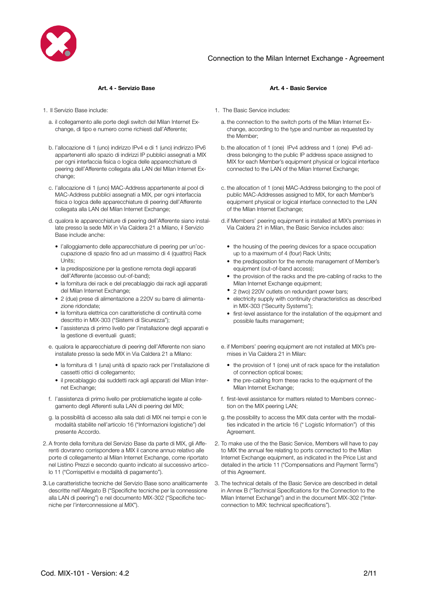

- a. il collegamento alle porte degli switch del Milan Internet Exchange, di tipo e numero come richiesti dall'Afferente;
- b. l'allocazione di 1 (uno) indirizzo IPv4 e di 1 (uno) indirizzo IPv6 appartenenti allo spazio di indirizzi IP pubblici assegnati a MIX per ogni interfaccia fisica o logica delle apparecchiature di peering dell'Afferente collegata alla LAN del Milan Internet Exchange;
- c. l'allocazione di 1 (uno) MAC-Address appartenente al pool di MAC-Address pubblici assegnati a MIX, per ogni interfaccia fisica o logica delle apparecchiature di peering dell'Afferente collegata alla LAN del Milan Internet Exchange;
- d. qualora le apparecchiature di peering dell'Afferente siano installate presso la sede MIX in Via Caldera 21 a Milano, il Servizio Base include anche:
	- l'alloggiamento delle apparecchiature di peering per un'occupazione di spazio fino ad un massimo di 4 (quattro) Rack Units;
	- la predisposizione per la gestione remota degli apparati dell'Afferente (accesso out-of-band);
	- la fornitura dei rack e del precablaggio dai rack agli apparati del Milan Internet Exchange;
	- 2 (due) prese di alimentazione a 220V su barre di alimentazione ridondate;
	- la fornitura elettrica con caratteristiche di continuità come descritto in MIX-303 ("Sistemi di Sicurezza");
	- l'assistenza di primo livello per l'installazione degli apparati e la gestione di eventuali guasti;
- e. qualora le apparecchiature di peering dell'Afferente non siano installate presso la sede MIX in Via Caldera 21 a Milano:
	- la fornitura di 1 (una) unità di spazio rack per l'installazione di cassetti ottici di collegamento;
	- il precablaggio dai suddetti rack agli apparati del Milan Internet Exchange;
- f. l'assistenza di primo livello per problematiche legate al collegamento degli Afferenti sulla LAN di peering del MIX;
- g. la possibilità di accesso alla sala dati di MIX nei tempi e con le modalità stabilite nell'articolo 16 ("Informazioni logistiche") del presente Accordo.
- 2. A fronte della fornitura del Servizio Base da parte di MIX, gli Afferenti dovranno corrispondere a MIX il canone annuo relativo alle porte di collegamento al Milan Internet Exchange, come riportato nel Listino Prezzi e secondo quanto indicato al successivo articolo 11 ("Corrispettivi e modalità di pagamento").
- 3. Le caratteristiche tecniche del Servizio Base sono analiticamente descritte nell'Allegato B ("Specifiche tecniche per la connessione alla LAN di peering") e nel documento MIX-302 ("Specifiche tecniche per l'interconnessione al MIX").

### **Art. 4 - Servizio Base Art. 4 - Basic Service**

- 1. Il Servizio Base include: 1. The Basic Service includes:
	- a. the connection to the switch ports of the Milan Internet Exchange, according to the type and number as requested by the Member;
	- b.the allocation of 1 (one) IPv4 address and 1 (one) IPv6 address belonging to the public IP address space assigned to MIX for each Member's equipment physical or logical interface connected to the LAN of the Milan Internet Exchange;
	- c. the allocation of 1 (one) MAC-Address belonging to the pool of public MAC-Addresses assigned to MIX, for each Member's equipment physical or logical interface connected to the LAN of the Milan Internet Exchange;
	- d. if Members' peering equipment is installed at MIX's premises in Via Caldera 21 in Milan, the Basic Service includes also:
		- the housing of the peering devices for a space occupation up to a maximum of 4 (four) Rack Units;
		- the predisposition for the remote management of Member's equipment (out-of-band access);
		- the provision of the racks and the pre-cabling of racks to the Milan Internet Exchange equipment;
		- 2 (two) 220V outlets on redundant power bars;
		- electricity supply with continuity characteristics as described in MIX-303 ("Security Systems");
		- first-level assistance for the installation of the equipment and possible faults management;
	- e. if Members' peering equipment are not installed at MIX's premises in Via Caldera 21 in Milan:
		- the provision of 1 (one) unit of rack space for the installation of connection optical boxes;
		- the pre-cabling from these racks to the equipment of the Milan Internet Exchange;
	- f. first-level assistance for matters related to Members connection on the MIX peering LAN;
	- g. the possibility to access the MIX data center with the modalities indicated in the article 16 (" Logistic Information") of this Agreement.
	- 2. To make use of the the Basic Service, Members will have to pay to MIX the annual fee relating to ports connected to the Milan Internet Exchange equipment, as indicated in the Price List and detailed in the article 11 ("Compensations and Payment Terms") of this Agreement.
	- 3. The technical details of the Basic Service are described in detail in Annex B ("Technical Specifications for the Connection to the Milan Internet Exchange") and in the document MIX-302 ("Interconnection to MIX: technical specifications").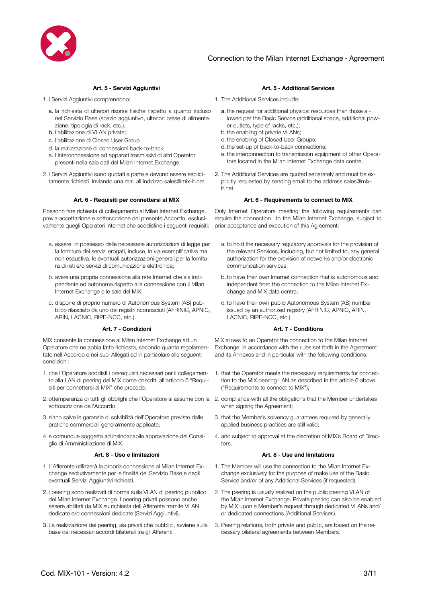

- - a. la richiesta di ulteriori risorse fisiche rispetto a quanto incluso nel Servizio Base (spazio aggiuntivo, ulteriori prese di alimentazione, tipologia di rack, etc.);
	- b. l'abilitazione di VLAN private;
	- c. l'abilitazione di Closed User Group
	- d. la realizzazione di connessioni back-to-back;
	- e. l'interconnessione ad apparati trasmissivi di altri Operatori presenti nella sala dati del Milan Internet Exchange.
- 2. I Servizi Aggiuntivi sono quotati a parte e devono essere esplicitamente richiesti inviando una mail all'indirizzo sales@mix-it.net.

Possono fare richiesta di collegamento al Milan Internet Exchange, previa accettazione e sottoscrizione del presente Accordo, esclusivamente quegli Operatori Internet che soddisfino i seguenti requisiti:

- a. essere in possesso delle necessarie autorizzazioni di legge per la fornitura dei servizi erogati, incluse, in via esemplificativa ma non esaustiva, le eventuali autorizzazioni generali per la fornitura di reti e/o servizi di comunicazione elettronica;
- b. avere una propria connessione alla rete Internet che sia indipendente ed autonoma rispetto alla connessione con il Milan Internet Exchange e le sale del MIX;
- c. disporre di proprio numero di Autonomous System (AS) pubblico rilasciato da uno dei registri riconosciuti (AFRINIC, APNIC, ARIN, LACNIC, RIPE-NCC, etc.).

MIX consente la connessione al Milan Internet Exchange ad un Operatore che ne abbia fatto richiesta, secondo quanto regolamentato nell'Accordo e nei suoi Allegati ed in particolare alle seguenti condizioni:

- 1. che l'Operatore soddisfi i prerequisiti necessari per il collegamento alla LAN di peering del MIX come descritti all'articolo 6 "Requisiti per connettersi al MIX" che precede;
- 2. ottemperanza di tutti gli obblighi che l'Operatore si assume con la 2. compliance with all the obligations that the Member undertakes sottoscrizione dell'Accordo;
- 3. siano salve le garanzie di solvibilità dell'Operatore previste dalle pratiche commerciali generalmente applicate;
- 4. e comunque soggetta ad insindacabile approvazione del Consiglio di Amministrazione di MIX.

- 1. L'Afferente utilizzerà la propria connessione al Milan Internet Exchange esclusivamente per le finalità del Servizio Base e degli eventuali Servizi Aggiuntivi richiesti.
- 2. I peering sono realizzati di norma sulla VLAN di peering pubblico del Milan Internet Exchange. I peering privati possono anche essere abilitati da MIX su richiesta dell'Afferente tramite VLAN dedicate e/o connessioni dedicate (Servizi Aggiuntivi).
- 3. La realizzazione dei peering, sia privati che pubblici, avviene sulla base dei necessari accordi bilaterali tra gli Afferenti.

### **Art. 5 - Servizi Aggiuntivi Art. 5 - Additional Services**

- 1. I Servizi Aggiuntivi comprendono: 1. The Additional Services include:
	- a. the request for additional physical resources than those allowed per the Basic Service (additional space, additional power outlets, type of racks, etc.);
	- b.the enabling of private VLANs;
	- c. the enabling of Closed User Groups;
	- d.the set-up of back-to-back connections;
	- e. the interconnection to transmission equipment of other Operators located in the Milan Internet Exchange data centre.
	- 2. The Additional Services are quoted separately and must be explicitly requested by sending email to the address sales@mixit.net.

### **Art. 6 - Requisiti per connettersi al MIX Art. 6 - Requirements to connect to MIX**

Only Internet Operators meeting the following requirements can require the connection to the Milan Internet Exchange, subject to prior acceptance and execution of this Agreement:

- a. to hold the necessary regulatory approvals for the provision of the relevant Services, including, but not limited to, any general authorization for the provision of networks and/or electronic communication services;
- b.to have their own Internet connection that is autonomous and independent from the connection to the Milan Internet Exchange and MIX data centre;
- c. to have their own public Autonomous System (AS) number issued by an authorized registry (AFRINIC, APNIC, ARIN, LACNIC, RIPE-NCC, etc.).

### **Art. 7 - Condizioni Art. 7 - Conditions**

MIX allows to an Operator the connection to the Milan Internet Exchange in accordance with the rules set forth in the Agreement and its Annexes and in particular with the following conditions:

- 1. that the Operator meets the necessary requirements for connection to the MIX peering LAN as described in the article 6 above ("Requirements to connect to MIX");
- when signing the Agreement;
- 3. that the Member's solvency guarantees required by generally applied business practices are still valid;
- 4. and subject to approval at the discretion of MIX's Board of Directors.

### **Art. 8 - Uso e limitazioni Art. 8 - Use and limitations**

- 1. The Member will use the connection to the Milan Internet Exchange exclusively for the purpose of make use of the Basic Service and/or of any Additional Services (if requested).
- 2. The peering is usually realized on the public peering VLAN of the Milan Internet Exchange. Private peering can also be enabled by MIX upon a Member's request through dedicated VLANs and/ or dedicated connections (Additional Services).
- 3. Peering relations, both private and public, are based on the necessary bilateral agreements between Members.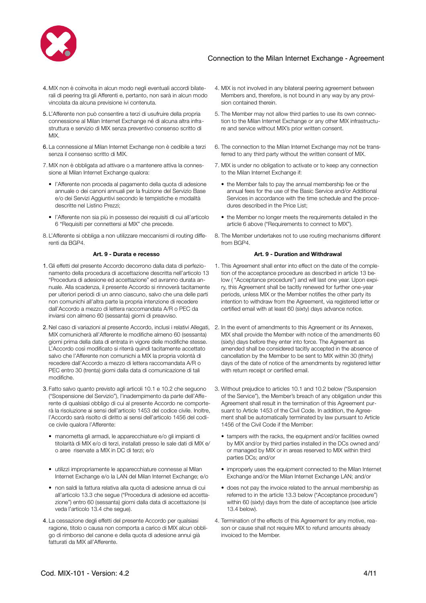

- 4. MIX non è coinvolta in alcun modo negli eventuali accordi bilaterali di peering tra gli Afferenti e, pertanto, non sarà in alcun modo vincolata da alcuna previsione ivi contenuta.
- 5. L'Afferente non può consentire a terzi di usufruire della propria connessione al Milan Internet Exchange né di alcuna altra infrastruttura e servizio di MIX senza preventivo consenso scritto di MIX.
- 6. La connessione al Milan Internet Exchange non è cedibile a terzi senza il consenso scritto di MIX.
- 7. MIX non è obbligata ad attivare o a mantenere attiva la connessione al Milan Internet Exchange qualora:
	- l'Afferente non proceda al pagamento della quota di adesione annuale o dei canoni annuali per la fruizione del Servizio Base e/o dei Servizi Aggiuntivi secondo le tempistiche e modalità descritte nel Listino Prezzi;
	- l'Afferente non sia più in possesso dei requisiti di cui all'articolo 6 "Requisiti per connettersi al MIX" che precede.
- 8. L'Afferente si obbliga a non utilizzare meccanismi di routing differenti da BGP4.

- 1. Gli effetti del presente Accordo decorrono dalla data di perfezionamento della procedura di accettazione descritta nell'articolo 13 "Procedura di adesione ed accettazione" ed avranno durata annuale. Alla scadenza, il presente Accordo si rinnoverà tacitamente per ulteriori periodi di un anno ciascuno, salvo che una delle parti non comunichi all'altra parte la propria intenzione di recedere dall'Accordo a mezzo di lettera raccomandata A/R o PEC da inviarsi con almeno 60 (sessanta) giorni di preavviso.
- 2. Nel caso di variazioni al presente Accordo, inclusi i relativi Allegati, 2. In the event of amendments to this Agreement or its Annexes, MIX comunicherà all'Afferente le modifiche almeno 60 (sessanta) giorni prima della data di entrata in vigore delle modifiche stesse. L'Accordo così modificato si riterrà quindi tacitamente accettato salvo che l'Afferente non comunichi a MIX la propria volontà di recedere dall'Accordo a mezzo di lettera raccomandata A/R o PEC entro 30 (trenta) giorni dalla data di comunicazione di tali modifiche.
- 3. Fatto salvo quanto previsto agli articoli 10.1 e 10.2 che seguono ("Sospensione del Servizio"), l'inadempimento da parte dell'Afferente di qualsiasi obbligo di cui al presente Accordo ne comporterà la risoluzione ai sensi dell'articolo 1453 del codice civile. Inoltre, l'Accordo sarà risolto di diritto ai sensi dell'articolo 1456 del codice civile qualora l'Afferente:
	- manometta gli armadi, le apparecchiature e/o gli impianti di titolarità di MIX e/o di terzi, installati presso le sale dati di MIX e/ o aree riservate a MIX in DC di terzi; e/o
	- utilizzi impropriamente le apparecchiature connesse al Milan Internet Exchange e/o la LAN del Milan Internet Exchange; e/o
	- non saldi la fattura relativa alla quota di adesione annua di cui all'articolo 13.3 che segue ("Procedura di adesione ed accettazione") entro 60 (sessanta) giorni dalla data di accettazione (si veda l'articolo 13.4 che segue).
- 4. La cessazione degli effetti del presente Accordo per qualsiasi ragione, titolo o causa non comporta a carico di MIX alcun obbligo di rimborso del canone e della quota di adesione annui già fatturati da MIX all'Afferente.
- 4. MIX is not involved in any bilateral peering agreement between Members and, therefore, is not bound in any way by any provision contained therein.
- 5. The Member may not allow third parties to use its own connection to the Milan Internet Exchange or any other MIX infrastructure and service without MIX's prior written consent.
- 6. The connection to the Milan Internet Exchange may not be transferred to any third party without the written consent of MIX.
- 7. MIX is under no obligation to activate or to keep any connection to the Milan Internet Exchange if:
	- the Member fails to pay the annual membership fee or the annual fees for the use of the Basic Service and/or Additional Services in accordance with the time schedule and the procedures described in the Price List;
	- the Member no longer meets the requirements detailed in the article 6 above ("Requirements to connect to MIX").
- 8. The Member undertakes not to use routing mechanisms different from BGP4.

### **Art. 9 - Durata e recesso Art. 9 - Duration and Withdrawal**

- 1. This Agreement shall enter into effect on the date of the completion of the acceptance procedure as described in article 13 below ( "Acceptance procedure") and will last one year. Upon expiry, this Agreement shall be tacitly renewed for further one-year periods, unless MIX or the Member notifies the other party its intention to withdraw from the Agreement, via registered letter or certified email with at least 60 (sixty) days advance notice.
- MIX shall provide the Member with notice of the amendments 60 (sixty) days before they enter into force. The Agreement as amended shall be considered tacitly accepted in the absence of cancellation by the Member to be sent to MIX within 30 (thirty) days of the date of notice of the amendments by registered letter with return receipt or certified email.
- 3. Without prejudice to articles 10.1 and 10.2 below ("Suspension of the Service"), the Member's breach of any obligation under this Agreement shall result in the termination of this Agreement pursuant to Article 1453 of the Civil Code. In addition, the Agreement shall be automatically terminated by law pursuant to Article 1456 of the Civil Code if the Member:
	- tampers with the racks, the equipment and/or facilities owned by MIX and/or by third parties installed in the DCs owned and/ or managed by MIX or in areas reserved to MIX within third parties DCs; and/or
	- improperly uses the equipment connected to the Milan Internet Exchange and/or the Milan Internet Exchange LAN; and/or
	- does not pay the invoice related to the annual membership as referred to in the article 13.3 below ("Acceptance procedure") within 60 (sixty) days from the date of acceptance (see article 13.4 below).
- 4. Termination of the effects of this Agreement for any motive, reason or cause shall not require MIX to refund amounts already invoiced to the Member.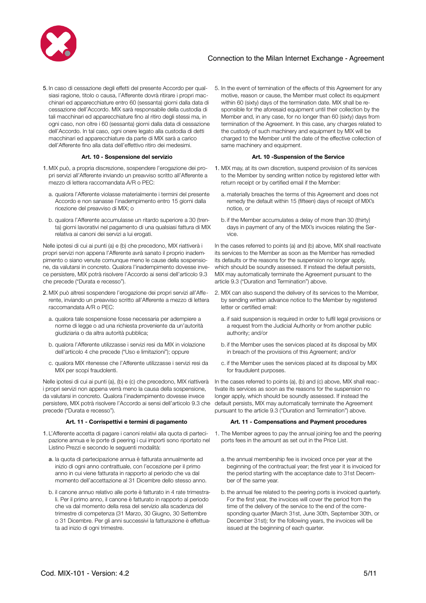

5. In caso di cessazione degli effetti del presente Accordo per qualsiasi ragione, titolo o causa, l'Afferente dovrà ritirare i propri macchinari ed apparecchiature entro 60 (sessanta) giorni dalla data di cessazione dell'Accordo. MIX sarà responsabile della custodia di tali macchinari ed apparecchiature fino al ritiro degli stessi ma, in ogni caso, non oltre i 60 (sessanta) giorni dalla data di cessazione dell'Accordo. In tal caso, ogni onere legato alla custodia di detti macchinari ed apparecchiature da parte di MIX sarà a carico dell'Afferente fino alla data dell'effettivo ritiro dei medesimi.

- 1. MIX può, a propria discrezione, sospendere l'erogazione dei propri servizi all'Afferente inviando un preavviso scritto all'Afferente a mezzo di lettera raccomandata A/R o PEC:
	- a. qualora l'Afferente violasse materialmente i termini del presente Accordo e non sanasse l'inadempimento entro 15 giorni dalla ricezione del preavviso di MIX; o
	- b. qualora l'Afferente accumulasse un ritardo superiore a 30 (trenta) giorni lavorativi nel pagamento di una qualsiasi fattura di MIX relativa ai canoni dei servizi a lui erogati.

Nelle ipotesi di cui ai punti (a) e (b) che precedono, MIX riattiverà i propri servizi non appena l'Afferente avrà sanato il proprio inadempimento o siano venute comunque meno le cause della sospensione, da valutarsi in concreto. Qualora l'inadempimento dovesse invece persistere, MIX potrà risolvere l'Accordo ai sensi dell'articolo 9.3 che precede ("Durata e recesso").

- 2. MIX può altresì sospendere l'erogazione dei propri servizi all'Afferente, inviando un preavviso scritto all'Afferente a mezzo di lettera raccomandata A/R o PEC:
	- a. qualora tale sospensione fosse necessaria per adempiere a norme di legge o ad una richiesta proveniente da un'autorità giudiziaria o da altra autorità pubblica;
	- b. qualora l'Afferente utilizzasse i servizi resi da MIX in violazione dell'articolo 4 che precede ("Uso e limitazioni"); oppure
	- c. qualora MIX ritenesse che l'Afferente utilizzasse i servizi resi da MIX per scopi fraudolenti.

Nelle ipotesi di cui ai punti (a), (b) e (c) che precedono, MIX riattiverà i propri servizi non appena verrà meno la causa della sospensione, da valutarsi in concreto. Qualora l'inadempimento dovesse invece persistere, MIX potrà risolvere l'Accordo ai sensi dell'articolo 9.3 che precede ("Durata e recesso").

- 1. L'Afferente accetta di pagare i canoni relativi alla quota di partecipazione annua e le porte di peering i cui importi sono riportato nel Listino Prezzi e secondo le seguenti modalità:
	- a. la quota di partecipazione annua è fatturata annualmente ad inizio di ogni anno contrattuale, con l'eccezione per il primo anno in cui viene fatturata in rapporto al periodo che va dal momento dell'accettazione al 31 Dicembre dello stesso anno.
	- b. il canone annuo relativo alle porte è fatturato in 4 rate trimestrali. Per il primo anno, il canone è fatturato in rapporto al periodo che va dal momento della resa del servizio alla scadenza del trimestre di competenza (31 Marzo, 30 Giugno, 30 Settembre o 31 Dicembre. Per gli anni successivi la fatturazione è effettuata ad inizio di ogni trimestre.

5. In the event of termination of the effects of this Agreement for any motive, reason or cause, the Member must collect its equipment within 60 (sixty) days of the termination date. MIX shall be responsible for the aforesaid equipment until their collection by the Member and, in any case, for no longer than 60 (sixty) days from termination of the Agreement. In this case, any charges related to the custody of such machinery and equipment by MIX will be charged to the Member until the date of the effective collection of same machinery and equipment.

### **Art. 10 - Sospensione del servizio Art. 10 -Suspension of the Service**

- 1. MIX may, at its own discretion, suspend provision of its services to the Member by sending written notice by registered letter with return receipt or by certified email if the Member:
	- a. materially breaches the terms of this Agreement and does not remedy the default within 15 (fifteen) days of receipt of MIX's notice, or
	- b. if the Member accumulates a delay of more than 30 (thirty) days in payment of any of the MIX's invoices relating the Service.

In the cases referred to points (a) and (b) above, MIX shall reactivate its services to the Member as soon as the Member has remedied its defaults or the reasons for the suspension no longer apply, which should be soundly assessed. If instead the default persists, MIX may automatically terminate the Agreement pursuant to the article 9.3 ("Duration and Termination") above.

- 2. MIX can also suspend the delivery of its services to the Member, by sending written advance notice to the Member by registered letter or certified email:
	- a. if said suspension is required in order to fulfil legal provisions or a request from the Judicial Authority or from another public authority; and/or
	- b. if the Member uses the services placed at its disposal by MIX in breach of the provisions of this Agreement; and/or
	- c. if the Member uses the services placed at its disposal by MIX for fraudulent purposes.

In the cases referred to points (a), (b) and (c) above, MIX shall reactivate its services as soon as the reasons for the suspension no longer apply, which should be soundly assessed. If instead the default persists, MIX may automatically terminate the Agreement pursuant to the article 9.3 ("Duration and Termination") above.

### **Art. 11 - Corrispettivi e termini di pagamento Art. 11 - Compensations and Payment procedures**

- 1. The Member agrees to pay the annual joining fee and the peering ports fees in the amount as set out in the Price List.
	- a. the annual membership fee is invoiced once per year at the beginning of the contractual year; the first year it is invoiced for the period starting with the acceptance date to 31st December of the same year.
	- b.the annual fee related to the peering ports is invoiced quarterly. For the first year, the invoices will cover the period from the time of the delivery of the service to the end of the corresponding quarter (March 31st, June 30th, September 30th, or December 31st); for the following years, the invoices will be issued at the beginning of each quarter.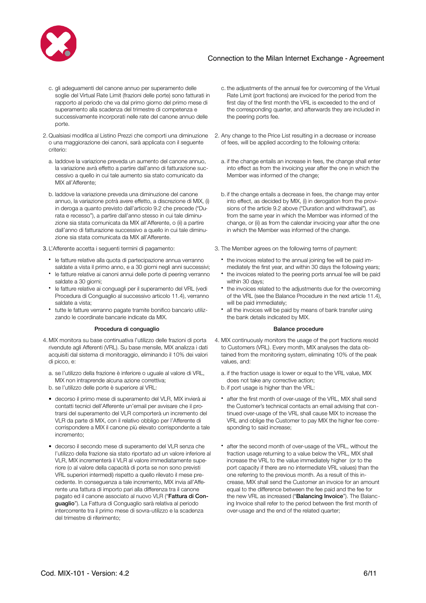

- c. gli adeguamenti del canone annuo per superamento delle soglie del Virtual Rate Limit (frazioni delle porte) sono fatturati in rapporto al periodo che va dal primo giorno del primo mese di superamento alla scadenza del trimestre di competenza e successivamente incorporati nelle rate del canone annuo delle porte.
- 2. Qualsiasi modifica al Listino Prezzi che comporti una diminuzione o una maggiorazione dei canoni, sarà applicata con il seguente criterio:
	- a. laddove la variazione preveda un aumento del canone annuo, la variazione avrà effetto a partire dall'anno di fatturazione successivo a quello in cui tale aumento sia stato comunicato da MIX all'Afferente;
	- b. laddove la variazione preveda una diminuzione del canone annuo, la variazione potrà avere effetto, a discrezione di MIX, (i) in deroga a quanto previsto dall'articolo 9.2 che precede ("Durata e recesso"), a partire dall'anno stesso in cui tale diminuzione sia stata comunicata da MIX all'Afferente, o (ii) a partire dall'anno di fatturazione successivo a quello in cui tale diminuzione sia stata comunicata da MIX all'Afferente.
- - le fatture relative alla quota di partecipazione annua verranno saldate a vista il primo anno, e a 30 giorni negli anni successivi;
	- le fatture relative ai canoni annui delle porte di peering verranno saldate a 30 giorni;
	- le fatture relative ai conguagli per il superamento del VRL (vedi Procedura di Conguaglio al successivo articolo 11.4), verranno saldate a vista;
	- tutte le fatture verranno pagate tramite bonifico bancario utilizzando le coordinate bancarie indicate da MIX.

### Procedura di conquaglio e controlle di conquaglio di controlle di controlle di controlle di controlle di controlle di controlle di controlle di controlle di controlle di controlle di controlle di controlle di controlle di

- 4. MIX monitora su base continuativa l'utilizzo delle frazioni di porta rivendute agli Afferenti (VRL). Su base mensile, MIX analizza i dati acquisiti dal sistema di monitoraggio, eliminando il 10% dei valori di picco, e:
	- a. se l'utilizzo della frazione è inferiore o uguale al valore di VRL, MIX non intraprende alcuna azione correttiva;
	- b. se l'utilizzo delle porte è superiore al VRL:
	- decorso il primo mese di superamento del VLR, MIX invierà ai contatti tecnici dell'Afferente un'email per avvisare che il protrarsi del superamento del VLR comporterà un incremento del VLR da parte di MIX, con il relativo obbligo per l'Afferente di corrispondere a MIX il canone più elevato corrispondente a tale incremento;
	- decorso il secondo mese di superamento del VLR senza che l'utilizzo della frazione sia stato riportato ad un valore inferiore al VLR, MIX incrementerà il VLR al valore immediatamente superiore (o al valore della capacità di porta se non sono previsti VRL superiori intermedi) rispetto a quello rilevato il mese precedente. In conseguenza a tale incremento, MIX invia all'Afferente una fattura di importo pari alla differenza tra il canone pagato ed il canone associato al nuovo VLR ("Fattura di Conguaglio"). La Fattura di Conguaglio sarà relativa al periodo intercorrente tra il primo mese di sovra-utilizzo e la scadenza del trimestre di riferimento;
- c. the adjustments of the annual fee for overcoming of the Virtual Rate Limit (port fractions) are invoiced for the period from the first day of the first month the VRL is exceeded to the end of the corresponding quarter, and afterwards they are included in the peering ports fee.
- 2. Any change to the Price List resulting in a decrease or increase of fees, will be applied according to the following criteria:
	- a. if the change entails an increase in fees, the change shall enter into effect as from the invoicing year after the one in which the Member was informed of the change;
	- b. if the change entails a decrease in fees, the change may enter into effect, as decided by MIX, (i) in derogation from the provisions of the article 9.2 above ("Duration and withdrawal"), as from the same year in which the Member was informed of the change, or (ii) as from the calendar invoicing year after the one in which the Member was informed of the change.
- 3. L'Afferente accetta i seguenti termini di pagamento: 3. The Member agrees on the following terms of payment:
	- the invoices related to the annual joining fee will be paid immediately the first year, and within 30 days the following years;
	- the invoices related to the peering ports annual fee will be paid within 30 days;
	- the invoices related to the adjustments due for the overcoming of the VRL (see the Balance Procedure in the next article 11.4), will be paid immediately;
	- all the invoices will be paid by means of bank transfer using the bank details indicated by MIX.

- 4. MIX continuously monitors the usage of the port fractions resold to Customers (VRL). Every month, MIX analyses the data obtained from the monitoring system, eliminating 10% of the peak values, and:
	- a. if the fraction usage is lower or equal to the VRL value, MIX does not take any corrective action;
	- b. if port usage is higher than the VRL:
	- after the first month of over-usage of the VRL, MIX shall send the Customer's technical contacts an email advising that continued over-usage of the VRL shall cause MIX to increase the VRL and oblige the Customer to pay MIX the higher fee corresponding to said increase;
	- after the second month of over-usage of the VRL, without the fraction usage returning to a value below the VRL, MIX shall increase the VRL to the value immediately higher (or to the port capacity if there are no intermediate VRL values) than the one referring to the previous month. As a result of this increase, MIX shall send the Customer an invoice for an amount equal to the difference between the fee paid and the fee for the new VRL as increased ("Balancing Invoice"). The Balancing Invoice shall refer to the period between the first month of over-usage and the end of the related quarter;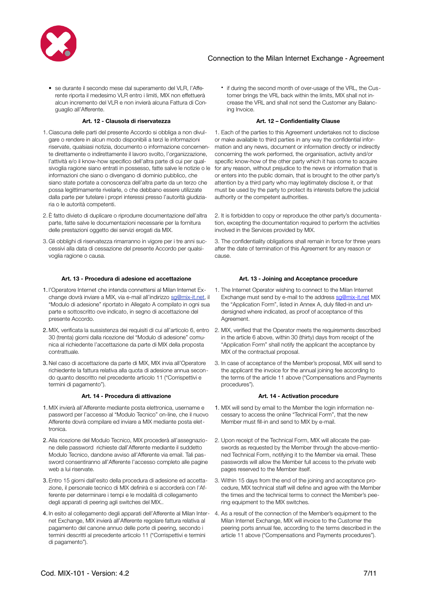

• se durante il secondo mese dal superamento del VLR, l'Afferente riporta il medesimo VLR entro i limiti, MIX non effettuerà alcun incremento del VLR e non invierà alcuna Fattura di Conguaglio all'Afferente.

### **Art. 12 - Clausola di riservatezza Art. 12 – Confidentiality Clause**

- 1. Ciascuna delle parti del presente Accordo si obbliga a non divulgare o rendere in alcun modo disponibili a terzi le informazioni riservate, qualsiasi notizia, documento o informazione concernente direttamente o indirettamente il lavoro svolto, l'organizzazione, l'attività e/o il know-how specifico dell'altra parte di cui per qualsivoglia ragione siano entrati in possesso, fatte salve le notizie o le informazioni che siano o divengano di dominio pubblico, che siano state portate a conoscenza dell'altra parte da un terzo che possa legittimamente rivelarle, o che debbano essere utilizzate dalla parte per tutelare i propri interessi presso l'autorità giudiziaria o le autorità competenti.
- 2. È fatto divieto di duplicare o riprodurre documentazione dell'altra parte, fatte salve le documentazioni necessarie per la fornitura delle prestazioni oggetto dei servizi erogati da MIX.
- 3. Gli obblighi di riservatezza rimarranno in vigore per i tre anni successivi alla data di cessazione del presente Accordo per qualsivoglia ragione o causa.

### **Art. 13 - Procedura di adesione ed accettazione Art. 13 - Joining and Acceptance procedure**

- 1. l'Operatore Internet che intenda connettersi al Milan Internet Exchange dovrà inviare a MIX, via e-mail all'indirizzo [sg@mix-it.net,](mailto:sg@mix-it.net) il "Modulo di adesione" riportato in Allegato A compilato in ogni sua parte e sottoscritto ove indicato, in segno di accettazione del presente Accordo.
- 30 (trenta) giorni dalla ricezione del "Modulo di adesione" comunica al richiedente l'accettazione da parte di MIX della proposta contrattuale.
- 3. Nel caso di accettazione da parte di MIX, MIX invia all'Operatore richiedente la fattura relativa alla quota di adesione annua secondo quanto descritto nel precedente articolo 11 ("Corrispettivi e termini di pagamento").

### **Art. 14 - Procedura di attivazione Art. 14 - Activation procedure**

- 1. MIX invierà all'Afferente mediante posta elettronica, username e password per l'accesso al "Modulo Tecnico" on-line, che il nuovo Afferente dovrà compilare ed inviare a MIX mediante posta elettronica.
- 2. Alla ricezione del Modulo Tecnico, MIX procederà all'assegnazione delle password richieste dall'Afferente mediante il suddetto Modulo Tecnico, dandone avviso all'Afferente via email. Tali password consentiranno all'Afferente l'accesso completo alle pagine web a lui riservate.
- 3. Entro 15 giorni dall'esito della procedura di adesione ed accettazione, il personale tecnico di MIX definirà e si accorderà con l'Afferente per determinare i tempi e le modalità di collegamento degli apparati di peering agli switches del MIX..
- 4. In esito al collegamento degli apparati dell'Afferente al Milan Inter-4. As a result of the connection of the Member's equipment to the net Exchange, MIX invierà all'Afferente regolare fattura relativa al pagamento del canone annuo delle porte di peering, secondo i termini descritti al precedente articolo 11 ("Corrispettivi e termini di pagamento").

• if during the second month of over-usage of the VRL, the Customer brings the VRL back within the limits, MIX shall not increase the VRL and shall not send the Customer any Balancing Invoice.

1. Each of the parties to this Agreement undertakes not to disclose or make available to third parties in any way the confidential information and any news, document or information directly or indirectly concerning the work performed, the organisation, activity and/or specific know-how of the other party which it has come to acquire for any reason, without prejudice to the news or information that is or enters into the public domain, that is brought to the other party's attention by a third party who may legitimately disclose it, or that must be used by the party to protect its interests before the judicial authority or the competent authorities.

2. It is forbidden to copy or reproduce the other party's documentation, excepting the documentation required to perform the activities involved in the Services provided by MIX.

3. The confidentiality obligations shall remain in force for three years after the date of termination of this Agreement for any reason or cause.

- 1. The Internet Operator wishing to connect to the Milan Internet Exchange must send by e-mail to the address [sg@mix-it.net](mailto:sg@mix-it.net) MIX the "Application Form", listed in Annex A, duly filled-in and undersigned where indicated, as proof of acceptance of this Agreement.
- 2. MIX, verificata la sussistenza dei requisiti di cui all'articolo 6, entro 2. MIX, verified that the Operator meets the requirements described in the article 6 above, within 30 (thirty) days from receipt of the "Application Form" shall notify the applicant the acceptance by MIX of the contractual proposal.
	- 3. In case of acceptance of the Member's proposal, MIX will send to the applicant the invoice for the annual joining fee according to the terms of the article 11 above ("Compensations and Payments procedures").

- 1. MIX will send by email to the Member the login information necessary to access the online "Technical Form", that the new Member must fill-in and send to MIX by e-mail.
- 2. Upon receipt of the Technical Form, MIX will allocate the passwords as requested by the Member through the above-mentioned Technical Form, notifying it to the Member via email. These passwords will allow the Member full access to the private web pages reserved to the Member itself.
- 3. Within 15 days from the end of the joining and acceptance procedure, MIX technical staff will define and agree with the Member the times and the technical terms to connect the Member's peering equipment to the MIX switches.
- Milan Internet Exchange, MIX will invoice to the Customer the peering ports annual fee, according to the terms described in the article 11 above ("Compensations and Payments procedures").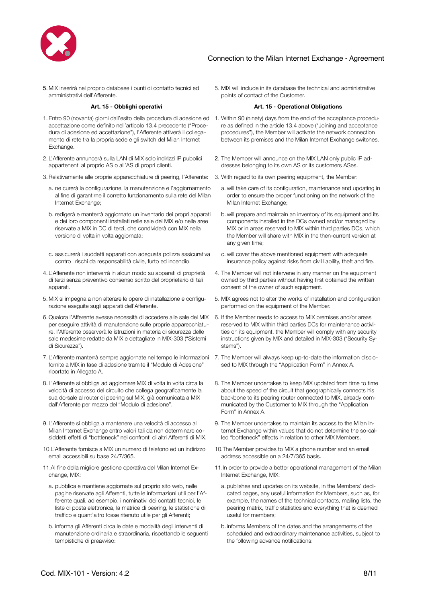

5. MIX inserirà nel proprio database i punti di contatto tecnici ed amministrativi dell'Afferente.

- 1. Entro 90 (novanta) giorni dall'esito della procedura di adesione ed 1. Within 90 (ninety) days from the end of the acceptance proceduaccettazione come definito nell'articolo 13.4 precedente ("Procedura di adesione ed accettazione"), l'Afferente attiverà il collegamento di rete tra la propria sede e gli switch del Milan Internet Exchange.
- 2. L'Afferente annuncerà sulla LAN di MIX solo indirizzi IP pubblici appartenenti al proprio AS o all'AS di propri clienti.
- 3.Relativamente alle proprie apparecchiature di peering, l'Afferente: 3. With regard to its own peering equipment, the Member:
	- a. ne curerà la configurazione, la manutenzione e l'aggiornamento al fine di garantirne il corretto funzionamento sulla rete del Milan Internet Exchange;
	- b. redigerà e manterrà aggiornato un inventario dei propri apparati e dei loro componenti installati nelle sale del MIX e/o nelle aree riservate a MIX in DC di terzi, che condividerà con MIX nella versione di volta in volta aggiornata;
- c. assicurerà i suddetti apparati con adeguata polizza assicurativa contro i rischi da responsabilità civile, furto ed incendio.
- 4. L'Afferente non interverrà in alcun modo su apparati di proprietà di terzi senza preventivo consenso scritto del proprietario di tali apparati.
- 5. MIX si impegna a non alterare le opere di installazione e configurazione eseguite sugli apparati dell'Afferente.
- 6. Qualora l'Afferente avesse necessità di accedere alle sale del MIX per eseguire attività di manutenzione sulle proprie apparecchiature, l'Afferente osserverà le istruzioni in materia di sicurezza delle sale medesime redatte da MIX e dettagliate in MIX-303 ("Sistemi di Sicurezza").
- 7. L'Afferente manterrà sempre aggiornate nel tempo le informazioni fornite a MIX in fase di adesione tramite il "Modulo di Adesione" riportato in Allegato A.
- 8. L'Afferente si obbliga ad aggiornare MIX di volta in volta circa la velocità di accesso del circuito che collega geograficamente la sua dorsale al router di peering sul MIX, già comunicata a MIX dall'Afferente per mezzo del "Modulo di adesione".
- 9. L'Afferente si obbliga a mantenere una velocità di accesso al Milan Internet Exchange entro valori tali da non determinare cosiddetti effetti di "bottleneck" nei confronti di altri Afferenti di MIX.
- 10.L'Afferente fornisce a MIX un numero di telefono ed un indirizzo email accessibili su base 24/7/365.
- 11.Al fine della migliore gestione operativa del Milan Internet Exchange, MIX:
	- a. pubblica e mantiene aggiornate sul proprio sito web, nelle pagine riservate agli Afferenti, tutte le informazioni utili per l'Afferente quali, ad esempio, i nominativi dei contatti tecnici, le liste di posta elettronica, la matrice di peering, le statistiche di traffico e quant'altro fosse ritenuto utile per gli Afferenti;
	- b. informa gli Afferenti circa le date e modalità degli interventi di manutenzione ordinaria e straordinaria, rispettando le seguenti tempistiche di preavviso:

5. MIX will include in its database the technical and administrative points of contact of the Customer.

### **Art. 15 - Obblighi operativi Art. 15 - Operational Obligations**

- re as defined in the article 13.4 above ("Joining and acceptance procedures"), the Member will activate the network connection between its premises and the Milan Internet Exchange switches.
- 2. The Member will announce on the MIX LAN only public IP addresses belonging to its own AS or its customers ASes.
- - a. will take care of its configuration, maintenance and updating in order to ensure the proper functioning on the network of the Milan Internet Exchange;
	- b.will prepare and maintain an inventory of its equipment and its components installed in the DCs owned and/or managed by MIX or in areas reserved to MIX within third parties DCs, which the Member will share with MIX in the then-current version at any given time;
	- c. will cover the above mentioned equipment with adequate insurance policy against risks from civil liability, theft and fire.
- 4. The Member will not intervene in any manner on the equipment owned by third parties without having first obtained the written consent of the owner of such equipment.
- 5. MIX agrees not to alter the works of installation and configuration performed on the equipment of the Member.
- 6. If the Member needs to access to MIX premises and/or areas reserved to MIX within third parties DCs for maintenance activities on its equipment, the Member will comply with any security instructions given by MIX and detailed in MIX-303 ("Security Systems").
- 7. The Member will always keep up-to-date the information disclosed to MIX through the "Application Form" in Annex A.
- 8. The Member undertakes to keep MIX updated from time to time about the speed of the circuit that geographically connects his backbone to its peering router connected to MIX, already communicated by the Customer to MIX through the "Application Form" in Annex A.
- 9. The Member undertakes to maintain its access to the Milan Internet Exchange within values that do not determine the so-called "bottleneck" effects in relation to other MIX Members.
- 10.The Member provides to MIX a phone number and an email address accessible on a 24/7/365 basis.
- 11.In order to provide a better operational management of the Milan Internet Exchange, MIX:
	- a. publishes and updates on its website, in the Members' dedicated pages, any useful information for Members, such as, for example, the names of the technical contacts, mailing lists, the peering matrix, traffic statistics and everything that is deemed useful for members;
	- b. informs Members of the dates and the arrangements of the scheduled and extraordinary maintenance activities, subject to the following advance notifications: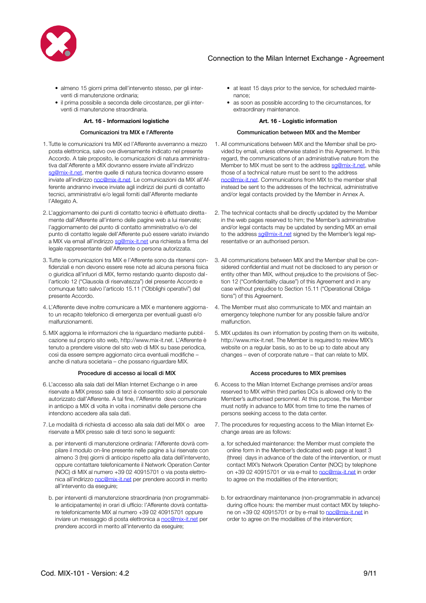

- almeno 15 giorni prima dell'intervento stesso, per gli interventi di manutenzione ordinaria;
- il prima possibile a seconda delle circostanze, per gli interventi di manutenzione straordinaria.

### **Art. 16 - Informazioni logistiche Art. 16 - Logistic information**

- 1. Tutte le comunicazioni tra MIX ed l'Afferente avverranno a mezzo posta elettronica, salvo ove diversamente indicato nel presente Accordo. A tale proposito, le comunicazioni di natura amministrativa dall'Afferente a MIX dovranno essere inviate all'indirizzo [sg@mix-it.net,](mailto:sg@mix-it.net) mentre quelle di natura tecnica dovranno essere inviate all'indirizzo [noc@mix-it.net](mailto:noc@mix-it.net). Le comunicazioni da MIX all'Afferente andranno invece inviate agli indirizzi dei punti di contatto tecnici, amministrativi e/o legali forniti dall'Afferente mediante l'Allegato A.
- 2. L'aggiornamento dei punti di contatto tecnici è effettuato direttamente dall'Afferente all'interno delle pagine web a lui riservate; l'aggiornamento del punto di contatto amministrativo e/o del punto di contatto legale dell'Afferente può essere variato inviando a MIX via email all'indirizzo [sg@mix-it.net](mailto:sg@mix-it.net) una richiesta a firma del legale rappresentante dell'Afferente o persona autorizzata.
- 3. Tutte le comunicazioni tra MIX e l'Afferente sono da ritenersi confidenziali e non devono essere rese note ad alcuna persona fisica o giuridica all'infuori di MIX, fermo restando quanto disposto dall'articolo 12 ("Clausola di riservatezza") del presente Accordo e comunque fatto salvo l'articolo 15.11 ("Obblighi operativi") del presente Accordo.
- 4. L'Afferente deve inoltre comunicare a MIX e mantenere aggiornato un recapito telefonico di emergenza per eventuali guasti e/o malfunzionamenti.
- 5. MIX aggiorna le informazioni che la riguardano mediante pubblicazione sul proprio sito web, http://[www.mix-it.net](http://www.mix-it.net). L'Afferente è tenuto a prendere visione del sito web di MIX su base periodica, così da essere sempre aggiornato circa eventuali modifiche – anche di natura societaria – che possano riguardare MIX.

- 6. L'accesso alla sala dati del Milan Internet Exchange o in aree riservate a MIX presso sale di terzi è consentito solo al personale autorizzato dall'Afferente. A tal fine, l'Afferente deve comunicare in anticipo a MIX di volta in volta i nominativi delle persone che intendono accedere alla sala dati.
- 7. Le modalità di richiesta di accesso alla sala dati del MIX o aree riservate a MIX presso sale di terzi sono le seguenti:
	- a. per interventi di manutenzione ordinaria: l'Afferente dovrà compilare il modulo on-line presente nelle pagine a lui riservate con almeno 3 (tre) giorni di anticipo rispetto alla data dell'intervento, oppure contattare telefonicamente il Network Operation Center (NOC) di MIX al numero +39 02 40915701 o via posta elettronica all'indirizzo [noc@mix-it.net](mailto:noc@mix-it.net) per prendere accordi in merito all'intervento da eseguire;
	- b. per interventi di manutenzione straordinaria (non programmabile anticipatamente) in orari di ufficio: l'Afferente dovrà contattare telefonicamente MIX al numero +39 02 40915701 oppure inviare un messaggio di posta elettronica a [noc@mix-it.net](mailto:noc@mix-it.net) per prendere accordi in merito all'intervento da eseguire;
- at least 15 days prior to the service, for scheduled maintenance;
- as soon as possible according to the circumstances, for extraordinary maintenance.

### Comunicazioni tra MIX e l'Afferente Communication between MIX and the Member

- 1. All communications between MIX and the Member shall be provided by email, unless otherwise stated in this Agreement. In this regard, the communications of an administrative nature from the Member to MIX must be sent to the address sa@mix-it.net, while those of a technical nature must be sent to the address [noc@mix-it.net](mailto:noc@mix-it.net). Communications from MIX to the member shall instead be sent to the addresses of the technical, administrative and/or legal contacts provided by the Member in Annex A.
- 2. The technical contacts shall be directly updated by the Member in the web pages reserved to him; the Member's administrative and/or legal contacts may be updated by sending MIX an email to the address [sg@mix-it.net](mailto:sg@mix-it.net) signed by the Member's legal representative or an authorised person.
- 3. All communications between MIX and the Member shall be considered confidential and must not be disclosed to any person or entity other than MIX, without prejudice to the provisions of Section 12 ("Confidentiality clause") of this Agreement and in any case without prejudice to Section 15.11 ("Operational Obligations") of this Agreement.
- 4. The Member must also communicate to MIX and maintain an emergency telephone number for any possible failure and/or malfunction.
- 5. MIX updates its own information by posting them on its website, http://www.mix-it.net. The Member is required to review MIX's website on a regular basis, so as to be up to date about any changes – even of corporate nature – that can relate to MIX.

### Procedure di accesso ai locali di MIX accesso en accesso procedures to MIX premises

- 6. Access to the Milan Internet Exchange premises and/or areas reserved to MIX within third parties DCs is allowed only to the Member's authorised personnel. At this purpose, the Member must notify in advance to MIX from time to time the names of persons seeking access to the data center.
- 7. The procedures for requesting access to the Milan Internet Exchange areas are as follows:
	- a. for scheduled maintenance: the Member must complete the online form in the Member's dedicated web page at least 3 (three) days in advance of the date of the intervention, or must contact MIX's Network Operation Center (NOC) by telephone on +39 02 40915701 or via e-mail to [noc@mix-it.net](mailto:noc@mix-it.net) in order to agree on the modalities of the intervention;
	- b. for extraordinary maintenance (non-programmable in advance) during office hours: the member must contact MIX by telephone on +39 02 40915701 or by e-mail to [noc@mix-it.net](mailto:noc@mix-it.net) in order to agree on the modalities of the intervention;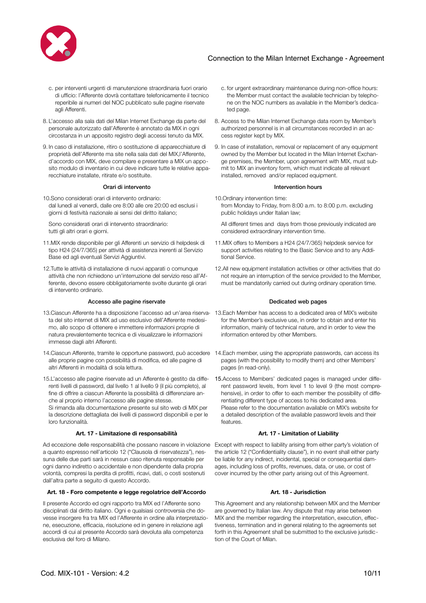

- c. per interventi urgenti di manutenzione straordinaria fuori orario di ufficio: l'Afferente dovrà contattare telefonicamente il tecnico reperibile ai numeri del NOC pubblicato sulle pagine riservate agli Afferenti.
- 8. L'accesso alla sala dati del Milan Internet Exchange da parte del personale autorizzato dall'Afferente è annotato da MIX in ogni circostanza in un apposito registro degli accessi tenuto da MIX.
- 9. In caso di installazione, ritiro o sostituzione di apparecchiature di proprietà dell'Afferente ma site nella sala dati del MIX,l'Afferente, d'accordo con MIX, deve compilare e presentare a MIX un apposito modulo di inventario in cui deve indicare tutte le relative apparecchiature installate, ritirate e/o sostituite.

10.Sono considerati orari di intervento ordinario: dal lunedì al venerdì, dalle ore 8:00 alle ore 20:00 ed esclusi i giorni di festività nazionale ai sensi del diritto italiano;

Sono considerati orari di intervento straordinario: tutti gli altri orari e giorni.

- 11.MIX rende disponibile per gli Afferenti un servizio di helpdesk di tipo H24 (24/7/365) per attività di assistenza inerenti al Servizio Base ed agli eventuali Servizi Aggiuntivi.
- 12.Tutte le attività di installazione di nuovi apparati o comunque attività che non richiedono un'interruzione del servizio reso all'Afferente, devono essere obbligatoriamente svolte durante gli orari di intervento ordinario.

### Accesso alle pagine riservate and the Dedicated web pages **Dedicated web pages**

- ta del sito internet di MIX ad uso esclusivo dell'Afferente medesimo, allo scopo di ottenere e immettere informazioni proprie di natura prevalentemente tecnica e di visualizzare le informazioni immesse dagli altri Afferenti.
- 14.Ciascun Afferente, tramite le opportune password, può accedere 14.Each member, using the appropriate passwords, can access its alle proprie pagine con possibilità di modifica, ed alle pagine di altri Afferenti in modalità di sola lettura.
- 15.L'accesso alle pagine riservate ad un Afferente è gestito da differenti livelli di password, dal livello 1 al livello 9 (il più completo), al fine di offrire a ciascun Afferente la possibilità di differenziare anche al proprio interno l'accesso alle pagine stesse.

Si rimanda alla documentazione presente sul sito web di MIX per la descrizione dettagliata dei livelli di password disponibili e per le loro funzionalità.

### **Art. 17 - Limitazione di responsabilità Art. 17 - Limitation of Liability**

Ad eccezione delle responsabilità che possano nascere in violazione Except with respect to liability arising from either party's violation of a quanto espresso nell'articolo 12 ("Clausola di riservatezza"), nessuna delle due parti sarà in nessun caso ritenuta responsabile per ogni danno indiretto o accidentale e non dipendente dalla propria volontà, compresi la perdita di profitti, ricavi, dati, o costi sostenuti dall'altra parte a seguito di questo Accordo.

### **Art. 18 - Foro competente e legge regolatrice dell'Accordo Art. 18 - Jurisdiction**

Il presente Accordo ed ogni rapporto tra MIX ed l'Afferente sono disciplinati dal diritto italiano. Ogni e qualsiasi controversia che dovesse insorgere fra tra MIX ed l'Afferente in ordine alla interpretazione, esecuzione, efficacia, risoluzione ed in genere in relazione agli accordi di cui al presente Accordo sarà devoluta alla competenza esclusiva del foro di Milano.

- c. for urgent extraordinary maintenance during non-office hours: the Member must contact the available technician by telephone on the NOC numbers as available in the Member's dedicated page.
- 8. Access to the Milan Internet Exchange data room by Member's authorized personnel is in all circumstances recorded in an access register kept by MIX.
- 9. In case of installation, removal or replacement of any equipment owned by the Member but located in the Milan Internet Exchange premises, the Member, upon agreement with MIX, must submit to MIX an inventory form, which must indicate all relevant installed, removed and/or replaced equipment.

### Orari di intervento **Intervention** hours

- 10.Ordinary intervention time: from Monday to Friday, from 8:00 a.m. to 8:00 p.m. excluding public holidays under Italian law;
	- All different times and days from those previously indicated are considered extraordinary intervention time.
- 11.MIX offers to Members a H24 (24/7/365) helpdesk service for support activities relating to the Basic Service and to any Additional Service.
- 12.All new equipment installation activities or other activities that do not require an interruption of the service provided to the Member, must be mandatorily carried out during ordinary operation time.

- 13.Ciascun Afferente ha a disposizione l'accesso ad un'area riserva-13.Each Member has access to a dedicated area of MIX's website for the Member's exclusive use, in order to obtain and enter his information, mainly of technical nature, and in order to view the information entered by other Members.
	- pages (with the possibility to modify them) and other Members' pages (in read-only).
	- 15.Access to Members' dedicated pages is managed under different password levels, from level 1 to level 9 (the most comprehensive), in order to offer to each member the possibility of differentiating different type of access to his dedicated area. Please refer to the documentation available on MIX's website for a detailed description of the available password levels and their features.

the article 12 ("Confidentiality clause"), in no event shall either party be liable for any indirect, incidental, special or consequential damages, including loss of profits, revenues, data, or use, or cost of cover incurred by the other party arising out of this Agreement.

This Agreement and any relationship between MIX and the Member are governed by Italian law. Any dispute that may arise between MIX and the member regarding the interpretation, execution, effectiveness, termination and in general relating to the agreements set forth in this Agreement shall be submitted to the exclusive jurisdiction of the Court of Milan.